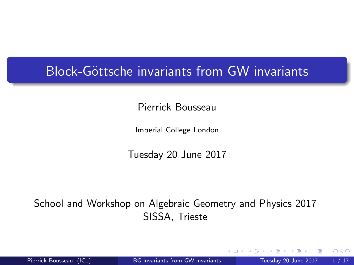### <span id="page-0-0"></span>Block-Göttsche invariants from GW invariants

Pierrick Bousseau

Imperial College London

Tuesday 20 June 2017

School and Workshop on Algebraic Geometry and Physics 2017 SISSA, Trieste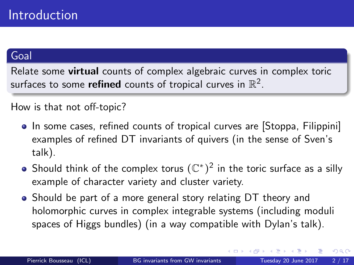### Goal

Relate some virtual counts of complex algebraic curves in complex toric surfaces to some  $\sf{refined}$  counts of tropical curves in  $\R^2.$ 

#### How is that not off-topic?

- In some cases, refined counts of tropical curves are [Stoppa, Filippini] examples of refined DT invariants of quivers (in the sense of Sven's talk).
- Should think of the complex torus  $(\mathbb{C}^*)^2$  in the toric surface as a silly example of character variety and cluster variety.
- Should be part of a more general story relating DT theory and holomorphic curves in complex integrable systems (including moduli spaces of Higgs bundles) (in a way compatible with Dylan's talk).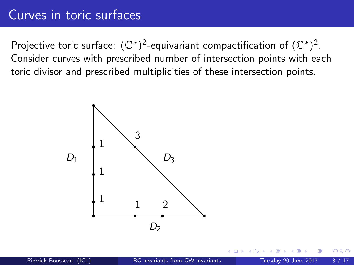### Curves in toric surfaces

Projective toric surface:  $(\mathbb{C}^*)^2$ -equivariant compactification of  $(\mathbb{C}^*)^2$ . Consider curves with prescribed number of intersection points with each toric divisor and prescribed multiplicities of these intersection points.



つひひ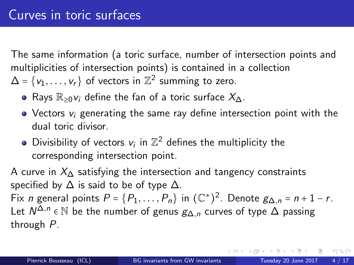The same information (a toric surface, number of intersection points and multiplicities of intersection points) is contained in a collection  $\Delta = \{v_1, \ldots, v_r\}$  of vectors in  $\mathbb{Z}^2$  summing to zero.

- Rays  $\mathbb{R}_{\geq 0}$  v<sub>i</sub> define the fan of a toric surface  $X_{\Delta}$ .
- $\bullet$  Vectors  $v_i$  generating the same ray define intersection point with the dual toric divisor.
- Divisibility of vectors  $v_i$  in  $\mathbb{Z}^2$  defines the multiplicity the corresponding intersection point.

A curve in  $X_{\Lambda}$  satisfying the intersection and tangency constraints specified by  $\Delta$  is said to be of type  $\Delta$ .

Fix *n* general points  $P = \{P_1, \ldots, P_n\}$  in  $(\mathbb{C}^*)^2$ . Denote  $g_{\Delta,n} = n + 1 - r$ . Let  $N^{\Delta,n}$  ∈  $\mathbb N$  be the number of genus  $g_{\Delta,n}$  curves of type  $\Delta$  passing through P.

 $QQ$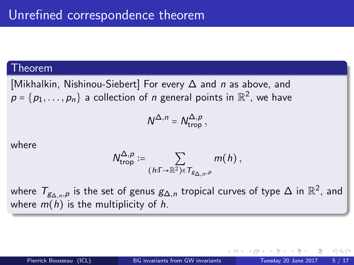#### Theorem

[Mikhalkin, Nishinou-Siebert] For every ∆ and n as above, and  $\boldsymbol{\mathcal{p}}=\{\boldsymbol{\mathcal{p}}_1,\ldots,\boldsymbol{\mathcal{p}}_n\}$  a collection of  $\boldsymbol{\mathcal{n}}$  general points in  $\mathbb{R}^2$ , we have

$$
N^{\Delta,n} = N_{\rm trop}^{\Delta,p},
$$

where

$$
N^{\Delta,p}_{\text{trop}} := \sum_{(h:\Gamma \to \mathbb{R}^2) \in T_{g_{\Delta,n},p}} m(h),
$$

where  $\mathcal{T}_{\mathcal{S} \Delta,n}$ , is the set of genus  $\mathcal{g}_{\Delta,n}$  tropical curves of type  $\Delta$  in  $\mathbb{R}^2$ , and where  $m(h)$  is the multiplicity of h.

つへへ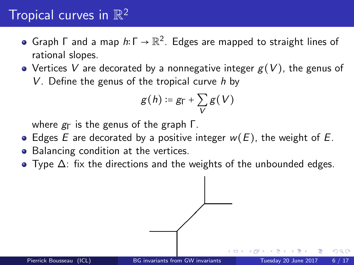# Tropical curves in  $\mathbb{R}^2$

- Graph  $\Gamma$  and a map  $h\!\!:\!\Gamma\to\mathbb{R}^2.$  Edges are mapped to straight lines of rational slopes.
- Vertices V are decorated by a nonnegative integer  $g(V)$ , the genus of V. Define the genus of the tropical curve  $h$  by

$$
g(h) \coloneqq g_{\Gamma} + \sum_{V} g(V)
$$

where  $g_{\Gamma}$  is the genus of the graph  $\Gamma$ .

- Edges E are decorated by a positive integer  $w(E)$ , the weight of E.
- Balancing condition at the vertices.
- $\bullet$  Type  $\Delta$ : fix the directions and the weights of the unbounded edges.

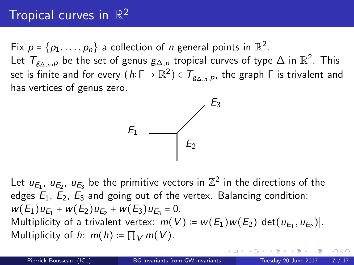# Tropical curves in  $\mathbb{R}^2$

Fix  $p = \{p_1, \ldots, p_n\}$  a collection of *n* general points in  $\mathbb{R}^2$ . Let  $\mathcal{T}_{\mathcal{S}\Delta,n,\rho}$  be the set of genus  $\mathcal{S}_{\Delta,n}$  tropical curves of type  $\Delta$  in  $\mathbb{R}^2.$  This set is finite and for every  $(\,h\!\!:\!\mathsf{\Gamma}\to\mathbb{R}^2)\in\mathcal{T}_{\mathcal{B}\Delta,n,\rho},$  the graph  $\mathsf{\Gamma}$  is trivalent and has vertices of genus zero.



Let  $u_{E_1}$ ,  $u_{E_2}$ ,  $u_{E_3}$  be the primitive vectors in  $\mathbb{Z}^2$  in the directions of the edges  $E_1$ ,  $E_2$ ,  $E_3$  and going out of the vertex. Balancing condition:  $w(E_1)u_{E_1} + w(E_2)u_{E_2} + w(E_3)u_{E_3} = 0.$ Multiplicity of a trivalent vertex:  $m(V) = w(E_1)w(E_2) | \det(u_{E_1}, u_{E_2})|$ . Multiplicity of h:  $m(h) = \prod_V m(V)$ .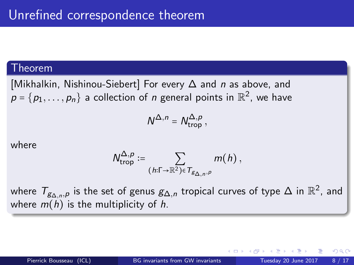#### Theorem

[Mikhalkin, Nishinou-Siebert] For every ∆ and n as above, and  $\boldsymbol{\mathcal{p}}=\{\boldsymbol{\mathcal{p}}_1,\dots,\boldsymbol{\mathcal{p}}_n\}$  a collection of  $\boldsymbol{\mathcal{n}}$  general points in  $\mathbb{R}^2$ , we have

$$
N^{\Delta,n} = N_{\rm trop}^{\Delta,p},
$$

where

$$
N^{\Delta,p}_{\text{trop}} := \sum_{(h:\Gamma \to \mathbb{R}^2) \in T_{g_{\Delta,n},p}} m(h),
$$

where  $\mathcal{T}_{\mathcal{S} \Delta,n}$ , is the set of genus  $\mathcal{g}_{\Delta,n}$  tropical curves of type  $\Delta$  in  $\mathbb{R}^2$ , and where  $m(h)$  is the multiplicity of h.

つへへ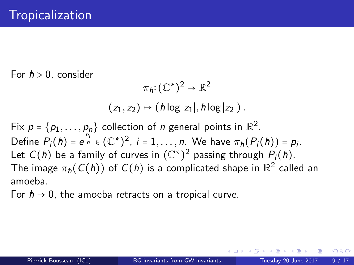<span id="page-8-0"></span>For  $h > 0$ , consider

$$
\pi_h: (\mathbb{C}^*)^2 \to \mathbb{R}^2
$$
  
(z<sub>1</sub>, z<sub>2</sub>)  $\mapsto$  (h log |z<sub>1</sub>|, h log |z<sub>2</sub>|).

Fix  $p = \{p_1, \ldots, p_n\}$  collection of *n* general points in  $\mathbb{R}^2$ . Define  $P_i(h) = e^{\frac{p_i}{h}} \in (\mathbb{C}^*)^2$ ,  $i = 1, \ldots, n$ . We have  $\pi_h(P_i(h)) = p_i$ . Let  $C(\hbar)$  be a family of curves in  $(\mathbb{C}^*)^2$  passing through  $P_i(\hbar)$ . The image  $\pi_{\hbar}(C(\hbar))$  of  $C(\hbar)$  is a complicated shape in  $\mathbb{R}^2$  called an amoeba.

For  $h \rightarrow 0$ , the amoeba retracts on a tropical curve.

 $QQQ$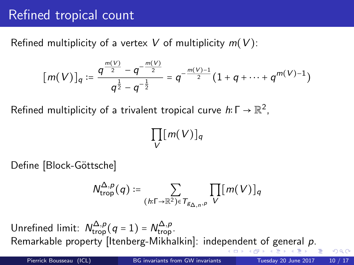## <span id="page-9-0"></span>Refined tropical count

Refined multiplicity of a vertex V of multiplicity  $m(V)$ :

$$
[m(V)]_q := \frac{q^{\frac{m(V)}{2}} - q^{-\frac{m(V)}{2}}}{q^{\frac{1}{2}} - q^{-\frac{1}{2}}} = q^{-\frac{m(V)-1}{2}}(1 + q + \cdots + q^{m(V)-1})
$$

Refined multiplicity of a trivalent tropical curve  $h\colon \Gamma\to \mathbb{R}^2,$ 

$$
\prod_V [m(V)]_q
$$

Define [Block-Göttsche]

$$
N_{\operatorname{trop}}^{\Delta,p}(q) := \sum_{(h:\Gamma \to \mathbb{R}^2) \in T_{g_{\Delta,n},p}} \prod_V [m(V)]_q
$$

Unrefined limit:  $N_{\text{trop}}^{\Delta,p}$  ( $q = 1$ ) =  $N_{\text{trop}}^{\Delta,p}$ . Remarkable property [Itenberg-Mikhalkin]: inde[pen](#page-8-0)[de](#page-10-0)[n](#page-8-0)[t](#page-9-0) [of](#page-10-0) [g](#page-0-0)[en](#page-16-0)[era](#page-0-0)[l](#page-16-0) [p](#page-0-0).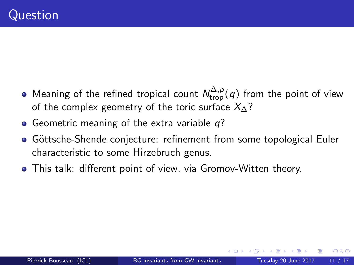- <span id="page-10-0"></span>Meaning of the refined tropical count  $\mathcal{N}^{\Delta,p}_{\operatorname{trop}}(q)$  from the point of view of the complex geometry of the toric surface  $X_{\Lambda}$ ?
- Geometric meaning of the extra variable  $q$ ?
- Göttsche-Shende conjecture: refinement from some topological Euler characteristic to some Hirzebruch genus.
- This talk: different point of view, via Gromov-Witten theory.

つへへ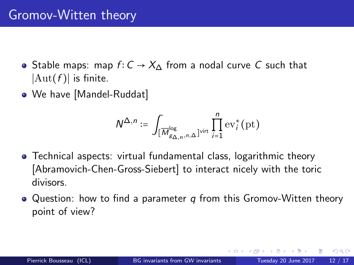## Gromov-Witten theory

- Stable maps: map  $f: C \to X_{\Lambda}$  from a nodal curve C such that  $|Aut(f)|$  is finite.
- We have [Mandel-Ruddat]

$$
\mathcal{N}^{\Delta,n} \coloneqq \int_{[\overline{M}^{\log}_{g_{\Delta,n},n,\Delta}]^{\text{virt}}} \prod_{i=1}^n \text{ev}_i^*(\text{pt})
$$

- Technical aspects: virtual fundamental class, logarithmic theory [Abramovich-Chen-Gross-Siebert] to interact nicely with the toric divisors.
- $\bullet$  Question: how to find a parameter q from this Gromov-Witten theory point of view?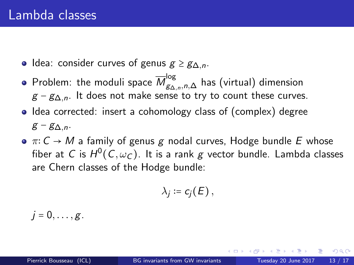- Idea: consider curves of genus  $g \geq g_{\Delta,n}$ .
- Problem: the moduli space  $\overline{\mathcal{M}}_{\mathcal{G}\Delta,n,n,\Delta}^{\log}$  has (virtual) dimension  $g - g_{\Delta,n}$ . It does not make sense to try to count these curves.
- Idea corrected: insert a cohomology class of (complex) degree  $g - g_{\Delta,n}$ .
- $\bullet \pi: C \rightarrow M$  a family of genus g nodal curves, Hodge bundle E whose fiber at  $C$  is  $H^0(C, {\omega}_C).$  It is a rank  $g$  vector bundle. Lambda classes are Chern classes of the Hodge bundle:

$$
\lambda_j\coloneqq c_j(E)\,,
$$

 $i = 0, \ldots, g$ .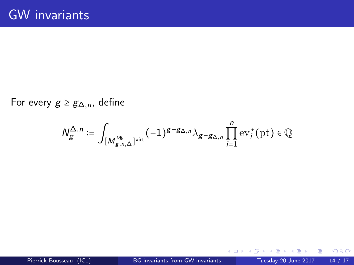For every  $g \geq g_{\Delta,n}$ , define

$$
N_{g}^{\Delta,n}:=\int_{[\overline{M}^{\log}_{{g,n},\Delta}]^{\operatorname{virt}}}(-1)^{g-g_{\Delta,n}}\lambda_{g-g_{\Delta,n}}\prod_{i=1}^n \operatorname{ev}_i^*(\operatorname{pt})\in\mathbb{Q}
$$

× э

4 日下

×.

 $298$ 

活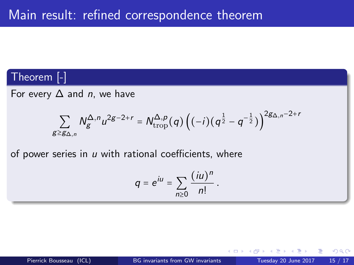#### Theorem [-]

For every  $\Delta$  and *n*, we have

$$
\sum_{g \geq g_{\Delta,n}} N_g^{\Delta,n} u^{2g-2+r} = N_{\text{trop}}^{\Delta,p}(q) \left( (-i) (q^{\frac{1}{2}} - q^{-\frac{1}{2}}) \right)^{2g_{\Delta,n}-2+r}
$$

of power series in  $u$  with rational coefficients, where

$$
q=e^{iu}=\sum_{n\geq 0}\frac{(iu)^n}{n!}.
$$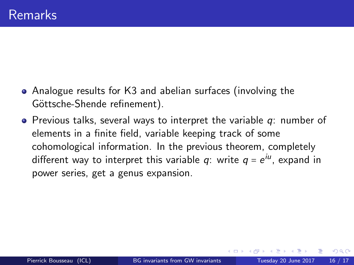- Analogue results for K3 and abelian surfaces (involving the Göttsche-Shende refinement).
- $\bullet$  Previous talks, several ways to interpret the variable  $q$ : number of elements in a finite field, variable keeping track of some cohomological information. In the previous theorem, completely different way to interpret this variable  $q$ : write  $q$  =  $e^{iu}$ , expand in power series, get a genus expansion.